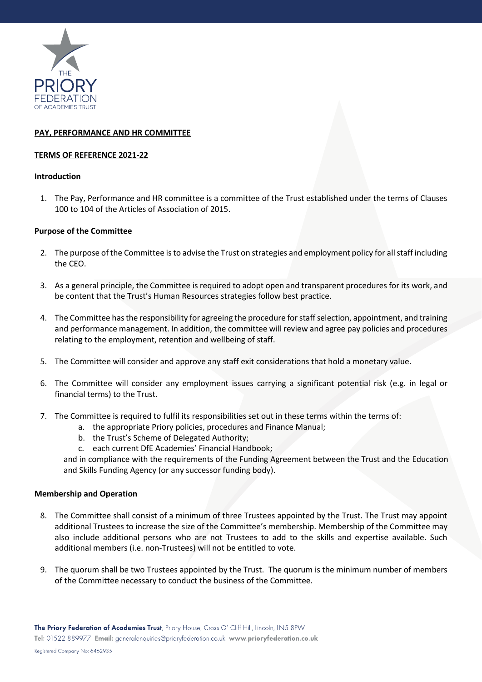

# **PAY, PERFORMANCE AND HR COMMITTEE**

### **TERMS OF REFERENCE 2021-22**

#### **Introduction**

1. The Pay, Performance and HR committee is a committee of the Trust established under the terms of Clauses 100 to 104 of the Articles of Association of 2015.

# **Purpose of the Committee**

- 2. The purpose of the Committee is to advise the Trust on strategies and employment policy for all staff including the CEO.
- 3. As a general principle, the Committee is required to adopt open and transparent procedures for its work, and be content that the Trust's Human Resources strategies follow best practice.
- 4. The Committee has the responsibility for agreeing the procedure for staff selection, appointment, and training and performance management. In addition, the committee will review and agree pay policies and procedures relating to the employment, retention and wellbeing of staff.
- 5. The Committee will consider and approve any staff exit considerations that hold a monetary value.
- 6. The Committee will consider any employment issues carrying a significant potential risk (e.g. in legal or financial terms) to the Trust.
- 7. The Committee is required to fulfil its responsibilities set out in these terms within the terms of:
	- a. the appropriate Priory policies, procedures and Finance Manual;
	- b. the Trust's Scheme of Delegated Authority;
	- c. each current DfE Academies' Financial Handbook;

and in compliance with the requirements of the Funding Agreement between the Trust and the Education and Skills Funding Agency (or any successor funding body).

#### **Membership and Operation**

- 8. The Committee shall consist of a minimum of three Trustees appointed by the Trust. The Trust may appoint additional Trustees to increase the size of the Committee's membership. Membership of the Committee may also include additional persons who are not Trustees to add to the skills and expertise available. Such additional members (i.e. non-Trustees) will not be entitled to vote.
- 9. The quorum shall be two Trustees appointed by the Trust. The quorum is the minimum number of members of the Committee necessary to conduct the business of the Committee.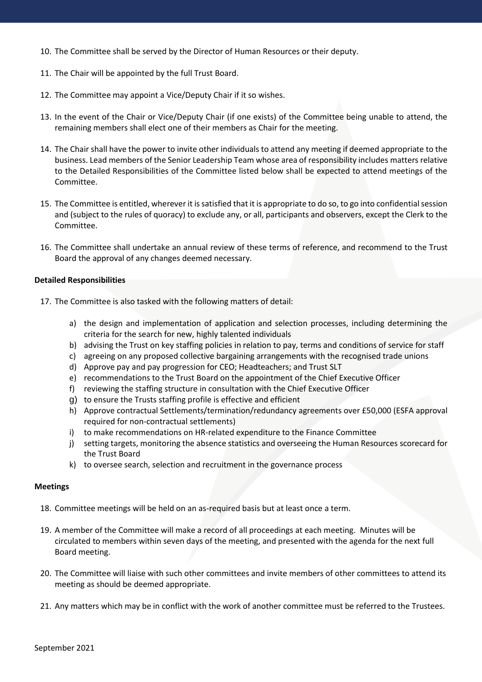- 10. The Committee shall be served by the Director of Human Resources or their deputy.
- 11. The Chair will be appointed by the full Trust Board.
- 12. The Committee may appoint a Vice/Deputy Chair if it so wishes.
- 13. In the event of the Chair or Vice/Deputy Chair (if one exists) of the Committee being unable to attend, the remaining members shall elect one of their members as Chair for the meeting.
- 14. The Chair shall have the power to invite other individuals to attend any meeting if deemed appropriate to the business. Lead members of the Senior Leadership Team whose area of responsibility includes matters relative to the Detailed Responsibilities of the Committee listed below shall be expected to attend meetings of the Committee.
- 15. The Committee is entitled, wherever it is satisfied that it is appropriate to do so, to go into confidential session and (subject to the rules of quoracy) to exclude any, or all, participants and observers, except the Clerk to the Committee.
- 16. The Committee shall undertake an annual review of these terms of reference, and recommend to the Trust Board the approval of any changes deemed necessary.

#### **Detailed Responsibilities**

- 17. The Committee is also tasked with the following matters of detail:
	- a) the design and implementation of application and selection processes, including determining the criteria for the search for new, highly talented individuals
	- b) advising the Trust on key staffing policies in relation to pay, terms and conditions of service for staff
	- c) agreeing on any proposed collective bargaining arrangements with the recognised trade unions
	- d) Approve pay and pay progression for CEO; Headteachers; and Trust SLT
	- e) recommendations to the Trust Board on the appointment of the Chief Executive Officer
	- f) reviewing the staffing structure in consultation with the Chief Executive Officer
	- g) to ensure the Trusts staffing profile is effective and efficient
	- h) Approve contractual Settlements/termination/redundancy agreements over £50,000 (ESFA approval required for non-contractual settlements)
	- i) to make recommendations on HR-related expenditure to the Finance Committee
	- j) setting targets, monitoring the absence statistics and overseeing the Human Resources scorecard for the Trust Board
	- k) to oversee search, selection and recruitment in the governance process

#### **Meetings**

- 18. Committee meetings will be held on an as-required basis but at least once a term.
- 19. A member of the Committee will make a record of all proceedings at each meeting. Minutes will be circulated to members within seven days of the meeting, and presented with the agenda for the next full Board meeting.
- 20. The Committee will liaise with such other committees and invite members of other committees to attend its meeting as should be deemed appropriate.
- 21. Any matters which may be in conflict with the work of another committee must be referred to the Trustees.